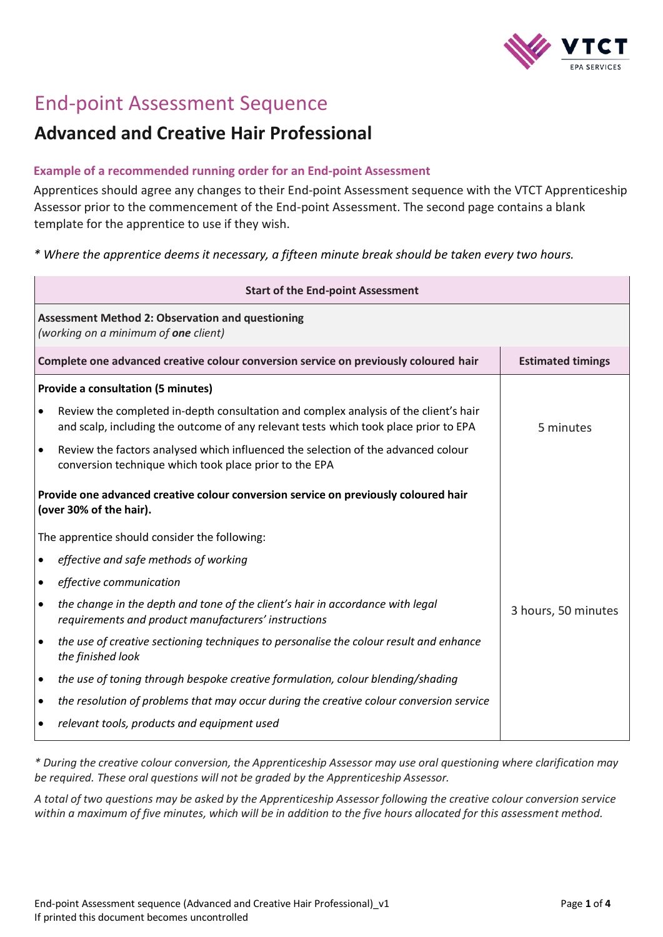

# End-point Assessment Sequence

## **Advanced and Creative Hair Professional**

#### **Example of a recommended running order for an End-point Assessment**

Apprentices should agree any changes to their End-point Assessment sequence with the VTCT Apprenticeship Assessor prior to the commencement of the End-point Assessment. The second page contains a blank template for the apprentice to use if they wish.

*\* Where the apprentice deems it necessary, a fifteen minute break should be taken every two hours.*

| <b>Start of the End-point Assessment</b>                                                        |                                                                                                                                                                              |                          |  |  |
|-------------------------------------------------------------------------------------------------|------------------------------------------------------------------------------------------------------------------------------------------------------------------------------|--------------------------|--|--|
| <b>Assessment Method 2: Observation and questioning</b><br>(working on a minimum of one client) |                                                                                                                                                                              |                          |  |  |
| Complete one advanced creative colour conversion service on previously coloured hair            |                                                                                                                                                                              | <b>Estimated timings</b> |  |  |
|                                                                                                 | <b>Provide a consultation (5 minutes)</b>                                                                                                                                    |                          |  |  |
|                                                                                                 | Review the completed in-depth consultation and complex analysis of the client's hair<br>and scalp, including the outcome of any relevant tests which took place prior to EPA | 5 minutes                |  |  |
|                                                                                                 | Review the factors analysed which influenced the selection of the advanced colour<br>conversion technique which took place prior to the EPA                                  |                          |  |  |
|                                                                                                 | Provide one advanced creative colour conversion service on previously coloured hair<br>(over 30% of the hair).                                                               |                          |  |  |
|                                                                                                 | The apprentice should consider the following:                                                                                                                                |                          |  |  |
| $\bullet$                                                                                       | effective and safe methods of working                                                                                                                                        |                          |  |  |
| ٠                                                                                               | effective communication                                                                                                                                                      |                          |  |  |
| $\bullet$                                                                                       | the change in the depth and tone of the client's hair in accordance with legal<br>requirements and product manufacturers' instructions                                       | 3 hours, 50 minutes      |  |  |
| $\bullet$                                                                                       | the use of creative sectioning techniques to personalise the colour result and enhance<br>the finished look                                                                  |                          |  |  |
| $\bullet$                                                                                       | the use of toning through bespoke creative formulation, colour blending/shading                                                                                              |                          |  |  |
| ٠                                                                                               | the resolution of problems that may occur during the creative colour conversion service                                                                                      |                          |  |  |
|                                                                                                 | relevant tools, products and equipment used                                                                                                                                  |                          |  |  |

*\* During the creative colour conversion, the Apprenticeship Assessor may use oral questioning where clarification may be required. These oral questions will not be graded by the Apprenticeship Assessor.* 

*A total of two questions may be asked by the Apprenticeship Assessor following the creative colour conversion service within a maximum of five minutes, which will be in addition to the five hours allocated for this assessment method.*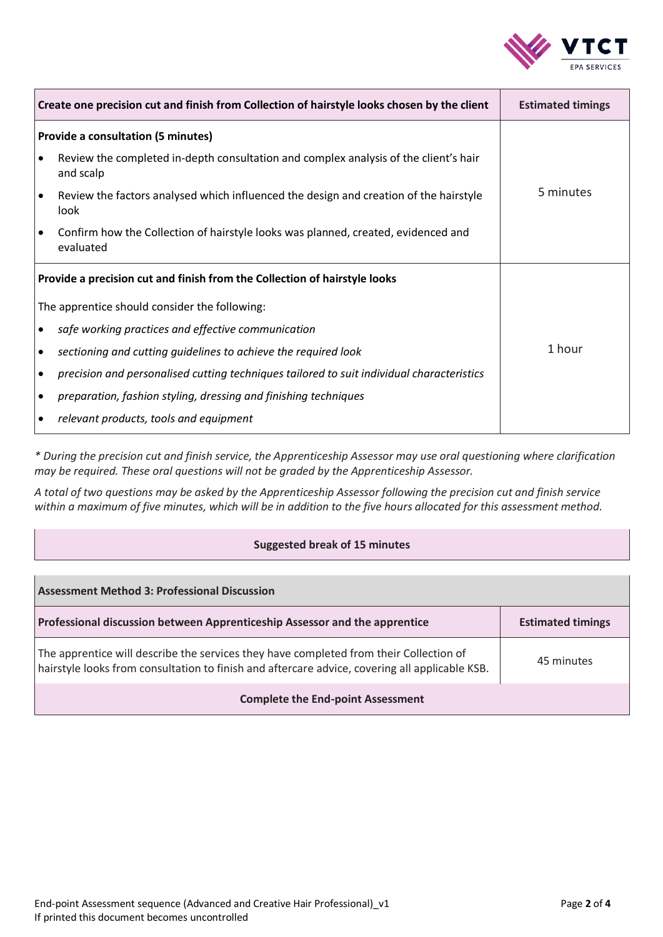

| Create one precision cut and finish from Collection of hairstyle looks chosen by the client |                                                                                                   | <b>Estimated timings</b> |
|---------------------------------------------------------------------------------------------|---------------------------------------------------------------------------------------------------|--------------------------|
| <b>Provide a consultation (5 minutes)</b>                                                   |                                                                                                   |                          |
| $\bullet$                                                                                   | Review the completed in-depth consultation and complex analysis of the client's hair<br>and scalp |                          |
| $\bullet$                                                                                   | Review the factors analysed which influenced the design and creation of the hairstyle<br>look     | 5 minutes                |
| $\bullet$                                                                                   | Confirm how the Collection of hairstyle looks was planned, created, evidenced and<br>evaluated    |                          |
| Provide a precision cut and finish from the Collection of hairstyle looks                   |                                                                                                   |                          |
| The apprentice should consider the following:                                               |                                                                                                   |                          |
| $\bullet$                                                                                   | safe working practices and effective communication                                                |                          |
| ٠                                                                                           | sectioning and cutting guidelines to achieve the required look                                    | 1 hour                   |
| $\bullet$                                                                                   | precision and personalised cutting techniques tailored to suit individual characteristics         |                          |
| ٠                                                                                           | preparation, fashion styling, dressing and finishing techniques                                   |                          |
| ٠                                                                                           | relevant products, tools and equipment                                                            |                          |

*\* During the precision cut and finish service, the Apprenticeship Assessor may use oral questioning where clarification may be required. These oral questions will not be graded by the Apprenticeship Assessor.* 

*A total of two questions may be asked by the Apprenticeship Assessor following the precision cut and finish service within a maximum of five minutes, which will be in addition to the five hours allocated for this assessment method.*

#### **Suggested break of 15 minutes**

| <b>Assessment Method 3: Professional Discussion</b>                                                                                                                                      |                          |  |  |  |
|------------------------------------------------------------------------------------------------------------------------------------------------------------------------------------------|--------------------------|--|--|--|
| Professional discussion between Apprenticeship Assessor and the apprentice                                                                                                               | <b>Estimated timings</b> |  |  |  |
| The apprentice will describe the services they have completed from their Collection of<br>hairstyle looks from consultation to finish and aftercare advice, covering all applicable KSB. | 45 minutes               |  |  |  |
| <b>Complete the End-point Assessment</b>                                                                                                                                                 |                          |  |  |  |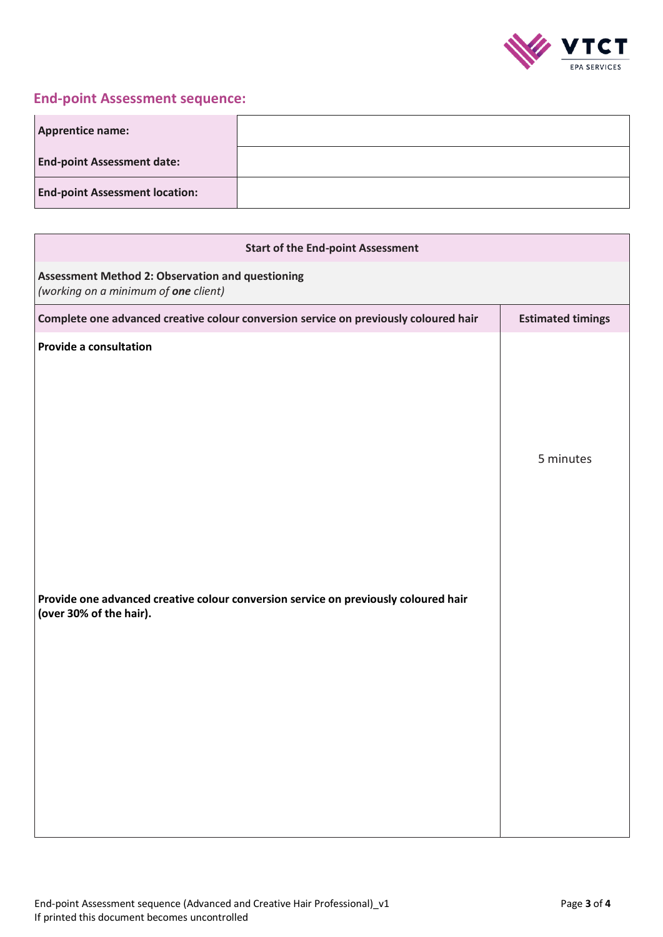

### **End-point Assessment sequence:**

| <b>Apprentice name:</b>               |  |
|---------------------------------------|--|
| <b>End-point Assessment date:</b>     |  |
| <b>End-point Assessment location:</b> |  |

| <b>Start of the End-point Assessment</b>                                                                       |                          |  |  |
|----------------------------------------------------------------------------------------------------------------|--------------------------|--|--|
| <b>Assessment Method 2: Observation and questioning</b><br>(working on a minimum of one client)                |                          |  |  |
| Complete one advanced creative colour conversion service on previously coloured hair                           | <b>Estimated timings</b> |  |  |
| <b>Provide a consultation</b>                                                                                  | 5 minutes                |  |  |
| Provide one advanced creative colour conversion service on previously coloured hair<br>(over 30% of the hair). |                          |  |  |